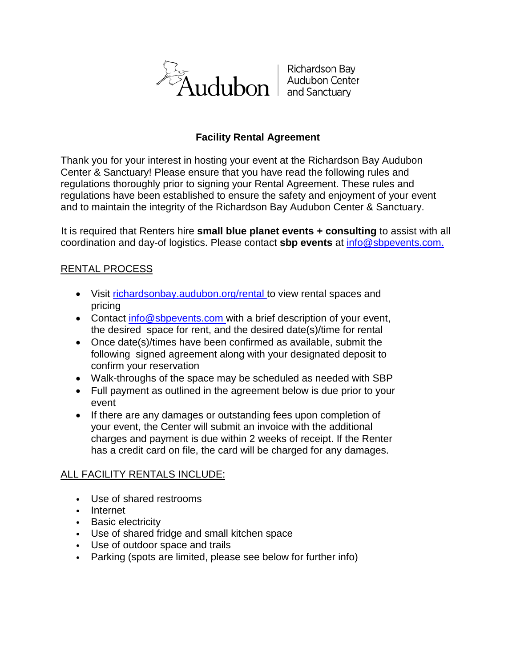

Richardson Bay Audubon Center and Sanctuary

# **Facility Rental Agreement**

Thank you for your interest in hosting your event at the Richardson Bay Audubon Center & Sanctuary! Please ensure that you have read the following rules and regulations thoroughly prior to signing your Rental Agreement. These rules and regulations have been established to ensure the safety and enjoyment of your event and to maintain the integrity of the Richardson Bay Audubon Center & Sanctuary.

It is required that Renters hire **small blue planet events + consulting** to assist with all coordination and day-of logistics. Please contact **sbp events** at info@sbpevents.com.

# RENTAL PROCESS

- Visit richardsonbay.audubon.org/rental to view rental spaces and pricing
- Contact info@sbpevents.com with a brief description of your event, the desired space for rent, and the desired date(s)/time for rental
- Once date(s)/times have been confirmed as available, submit the following signed agreement along with your designated deposit to confirm your reservation
- Walk-throughs of the space may be scheduled as needed with SBP
- Full payment as outlined in the agreement below is due prior to your event
- If there are any damages or outstanding fees upon completion of your event, the Center will submit an invoice with the additional charges and payment is due within 2 weeks of receipt. If the Renter has a credit card on file, the card will be charged for any damages.

# ALL FACILITY RENTALS INCLUDE:

- Use of shared restrooms
- Internet
- Basic electricity
- Use of shared fridge and small kitchen space
- Use of outdoor space and trails
- Parking (spots are limited, please see below for further info)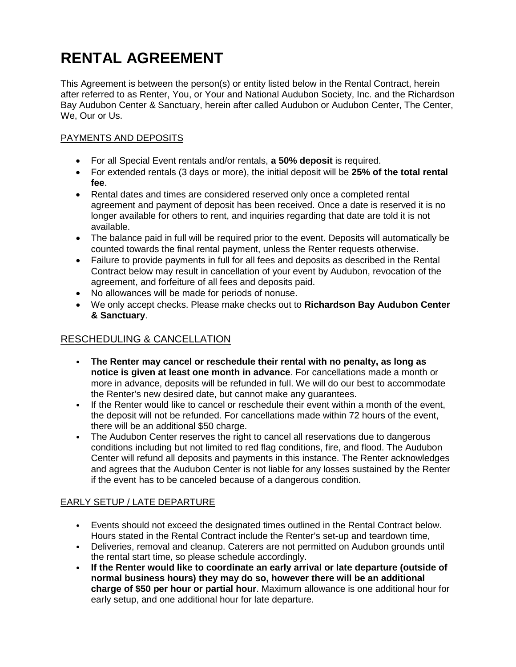# **RENTAL AGREEMENT**

This Agreement is between the person(s) or entity listed below in the Rental Contract, herein after referred to as Renter, You, or Your and National Audubon Society, Inc. and the Richardson Bay Audubon Center & Sanctuary, herein after called Audubon or Audubon Center, The Center, We, Our or Us.

# PAYMENTS AND DEPOSITS

- For all Special Event rentals and/or rentals, **a 50% deposit** is required.
- For extended rentals (3 days or more), the initial deposit will be **25% of the total rental fee**.
- Rental dates and times are considered reserved only once a completed rental agreement and payment of deposit has been received. Once a date is reserved it is no longer available for others to rent, and inquiries regarding that date are told it is not available.
- The balance paid in full will be required prior to the event. Deposits will automatically be counted towards the final rental payment, unless the Renter requests otherwise.
- Failure to provide payments in full for all fees and deposits as described in the Rental Contract below may result in cancellation of your event by Audubon, revocation of the agreement, and forfeiture of all fees and deposits paid.
- No allowances will be made for periods of nonuse.
- We only accept checks. Please make checks out to **Richardson Bay Audubon Center & Sanctuary**.

# RESCHEDULING & CANCELLATION

- **The Renter may cancel or reschedule their rental with no penalty, as long as notice is given at least one month in advance**. For cancellations made a month or more in advance, deposits will be refunded in full. We will do our best to accommodate the Renter's new desired date, but cannot make any guarantees.
- If the Renter would like to cancel or reschedule their event within a month of the event, the deposit will not be refunded. For cancellations made within 72 hours of the event, there will be an additional \$50 charge.
- The Audubon Center reserves the right to cancel all reservations due to dangerous conditions including but not limited to red flag conditions, fire, and flood. The Audubon Center will refund all deposits and payments in this instance. The Renter acknowledges and agrees that the Audubon Center is not liable for any losses sustained by the Renter if the event has to be canceled because of a dangerous condition.

# EARLY SETUP / LATE DEPARTURE

- Events should not exceed the designated times outlined in the Rental Contract below. Hours stated in the Rental Contract include the Renter's set-up and teardown time,
- Deliveries, removal and cleanup. Caterers are not permitted on Audubon grounds until the rental start time, so please schedule accordingly.
- **If the Renter would like to coordinate an early arrival or late departure (outside of normal business hours) they may do so, however there will be an additional charge of \$50 per hour or partial hour**. Maximum allowance is one additional hour for early setup, and one additional hour for late departure.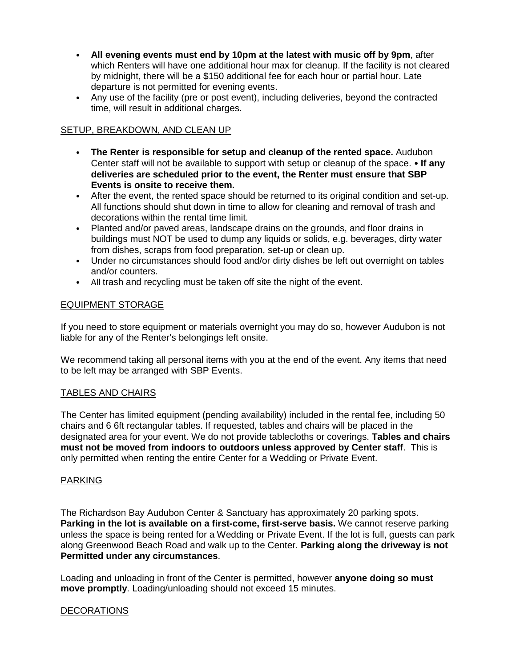- **All evening events must end by 10pm at the latest with music off by 9pm**, after which Renters will have one additional hour max for cleanup. If the facility is not cleared by midnight, there will be a \$150 additional fee for each hour or partial hour. Late departure is not permitted for evening events.
- Any use of the facility (pre or post event), including deliveries, beyond the contracted time, will result in additional charges.

# SETUP, BREAKDOWN, AND CLEAN UP

- **The Renter is responsible for setup and cleanup of the rented space.** Audubon Center staff will not be available to support with setup or cleanup of the space. • **If any deliveries are scheduled prior to the event, the Renter must ensure that SBP Events is onsite to receive them.**
- After the event, the rented space should be returned to its original condition and set-up. All functions should shut down in time to allow for cleaning and removal of trash and decorations within the rental time limit.
- Planted and/or paved areas, landscape drains on the grounds, and floor drains in buildings must NOT be used to dump any liquids or solids, e.g. beverages, dirty water from dishes, scraps from food preparation, set-up or clean up.
- Under no circumstances should food and/or dirty dishes be left out overnight on tables and/or counters.
- All trash and recycling must be taken off site the night of the event.

# EQUIPMENT STORAGE

If you need to store equipment or materials overnight you may do so, however Audubon is not liable for any of the Renter's belongings left onsite.

We recommend taking all personal items with you at the end of the event. Any items that need to be left may be arranged with SBP Events.

# TABLES AND CHAIRS

The Center has limited equipment (pending availability) included in the rental fee, including 50 chairs and 6 6ft rectangular tables. If requested, tables and chairs will be placed in the designated area for your event. We do not provide tablecloths or coverings. **Tables and chairs must not be moved from indoors to outdoors unless approved by Center staff**. This is only permitted when renting the entire Center for a Wedding or Private Event.

# PARKING

The Richardson Bay Audubon Center & Sanctuary has approximately 20 parking spots. **Parking in the lot is available on a first-come, first-serve basis.** We cannot reserve parking unless the space is being rented for a Wedding or Private Event. If the lot is full, guests can park along Greenwood Beach Road and walk up to the Center. **Parking along the driveway is not Permitted under any circumstances**.

Loading and unloading in front of the Center is permitted, however **anyone doing so must move promptly**. Loading/unloading should not exceed 15 minutes.

# DECORATIONS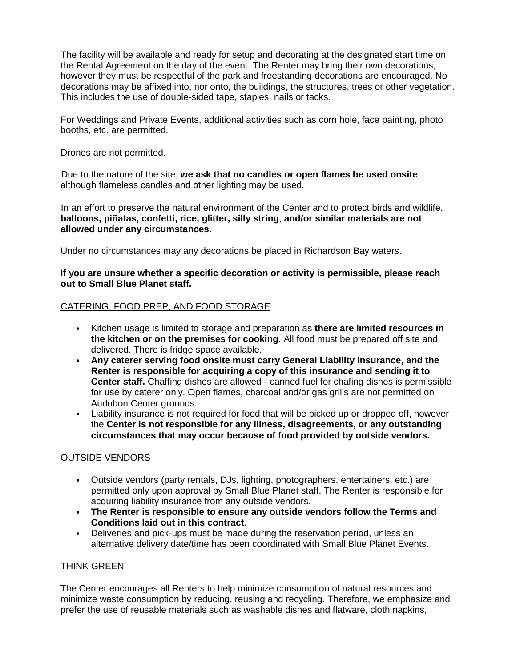The facility will be available and ready for setup and decorating at the designated start time on the Rental Agreement on the day of the event. The Renter may bring their own decorations, however they must be respectful of the park and freestanding decorations are encouraged. No decorations may be affixed into, nor onto, the buildings, the structures, trees or other vegetation. This includes the use of double-sided tape, staples, nails or tacks.

For Weddings and Private Events, additional activities such as corn hole, face painting, photo booths, etc. are permitted.

Drones are not permitted.

Due to the nature of the site, **we ask that no candles or open flames be used onsite**, although flameless candles and other lighting may be used.

In an effort to preserve the natural environment of the Center and to protect birds and wildlife, **balloons, piñatas, confetti, rice, glitter, silly string**, **and/or similar materials are not allowed under any circumstances.**

Under no circumstances may any decorations be placed in Richardson Bay waters.

## **If you are unsure whether a specific decoration or activity is permissible, please reach out to Small Blue Planet staff.**

# CATERING, FOOD PREP, AND FOOD STORAGE

- Kitchen usage is limited to storage and preparation as **there are limited resources in the kitchen or on the premises for cooking**. All food must be prepared off site and delivered. There is fridge space available.
- **Any caterer serving food onsite must carry General Liability Insurance, and the Renter is responsible for acquiring a copy of this insurance and sending it to Center staff.** Chaffing dishes are allowed - canned fuel for chafing dishes is permissible for use by caterer only. Open flames, charcoal and/or gas grills are not permitted on Audubon Center grounds.
- Liability insurance is not required for food that will be picked up or dropped off, however the **Center is not responsible for any illness, disagreements, or any outstanding circumstances that may occur because of food provided by outside vendors.**

# OUTSIDE VENDORS

- Outside vendors (party rentals, DJs, lighting, photographers, entertainers, etc.) are permitted only upon approval by Small Blue Planet staff. The Renter is responsible for acquiring liability insurance from any outside vendors.
- **The Renter is responsible to ensure any outside vendors follow the Terms and Conditions laid out in this contract**.
- Deliveries and pick-ups must be made during the reservation period, unless an alternative delivery date/time has been coordinated with Small Blue Planet Events.

# THINK GREEN

The Center encourages all Renters to help minimize consumption of natural resources and minimize waste consumption by reducing, reusing and recycling. Therefore, we emphasize and prefer the use of reusable materials such as washable dishes and flatware, cloth napkins,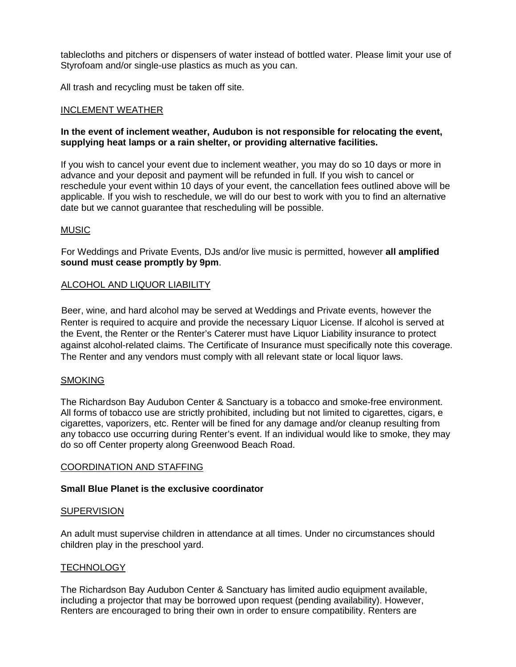tablecloths and pitchers or dispensers of water instead of bottled water. Please limit your use of Styrofoam and/or single-use plastics as much as you can.

All trash and recycling must be taken off site.

## INCLEMENT WEATHER

## **In the event of inclement weather, Audubon is not responsible for relocating the event, supplying heat lamps or a rain shelter, or providing alternative facilities.**

If you wish to cancel your event due to inclement weather, you may do so 10 days or more in advance and your deposit and payment will be refunded in full. If you wish to cancel or reschedule your event within 10 days of your event, the cancellation fees outlined above will be applicable. If you wish to reschedule, we will do our best to work with you to find an alternative date but we cannot guarantee that rescheduling will be possible.

## MUSIC

For Weddings and Private Events, DJs and/or live music is permitted, however **all amplified sound must cease promptly by 9pm**.

## ALCOHOL AND LIQUOR LIABILITY

Beer, wine, and hard alcohol may be served at Weddings and Private events, however the Renter is required to acquire and provide the necessary Liquor License. If alcohol is served at the Event, the Renter or the Renter's Caterer must have Liquor Liability insurance to protect against alcohol-related claims. The Certificate of Insurance must specifically note this coverage. The Renter and any vendors must comply with all relevant state or local liquor laws.

#### SMOKING

The Richardson Bay Audubon Center & Sanctuary is a tobacco and smoke-free environment. All forms of tobacco use are strictly prohibited, including but not limited to cigarettes, cigars, e cigarettes, vaporizers, etc. Renter will be fined for any damage and/or cleanup resulting from any tobacco use occurring during Renter's event. If an individual would like to smoke, they may do so off Center property along Greenwood Beach Road.

#### COORDINATION AND STAFFING

#### **Small Blue Planet is the exclusive coordinator**

#### **SUPERVISION**

An adult must supervise children in attendance at all times. Under no circumstances should children play in the preschool yard.

# **TECHNOLOGY**

The Richardson Bay Audubon Center & Sanctuary has limited audio equipment available, including a projector that may be borrowed upon request (pending availability). However, Renters are encouraged to bring their own in order to ensure compatibility. Renters are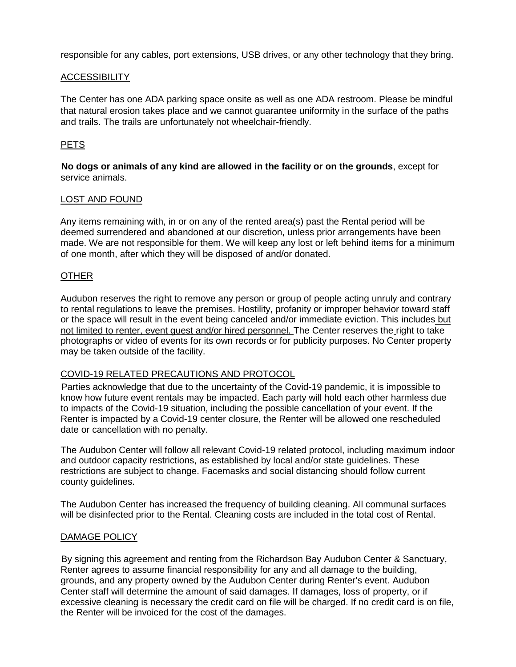responsible for any cables, port extensions, USB drives, or any other technology that they bring.

## **ACCESSIBILITY**

The Center has one ADA parking space onsite as well as one ADA restroom. Please be mindful that natural erosion takes place and we cannot guarantee uniformity in the surface of the paths and trails. The trails are unfortunately not wheelchair-friendly.

# **PETS**

**No dogs or animals of any kind are allowed in the facility or on the grounds**, except for service animals.

#### LOST AND FOUND

Any items remaining with, in or on any of the rented area(s) past the Rental period will be deemed surrendered and abandoned at our discretion, unless prior arrangements have been made. We are not responsible for them. We will keep any lost or left behind items for a minimum of one month, after which they will be disposed of and/or donated.

#### OTHER

Audubon reserves the right to remove any person or group of people acting unruly and contrary to rental regulations to leave the premises. Hostility, profanity or improper behavior toward staff or the space will result in the event being canceled and/or immediate eviction. This includes but not limited to renter, event guest and/or hired personnel. The Center reserves the right to take photographs or video of events for its own records or for publicity purposes. No Center property may be taken outside of the facility.

#### COVID-19 RELATED PRECAUTIONS AND PROTOCOL

Parties acknowledge that due to the uncertainty of the Covid-19 pandemic, it is impossible to know how future event rentals may be impacted. Each party will hold each other harmless due to impacts of the Covid-19 situation, including the possible cancellation of your event. If the Renter is impacted by a Covid-19 center closure, the Renter will be allowed one rescheduled date or cancellation with no penalty.

The Audubon Center will follow all relevant Covid-19 related protocol, including maximum indoor and outdoor capacity restrictions, as established by local and/or state guidelines. These restrictions are subject to change. Facemasks and social distancing should follow current county guidelines.

The Audubon Center has increased the frequency of building cleaning. All communal surfaces will be disinfected prior to the Rental. Cleaning costs are included in the total cost of Rental.

#### DAMAGE POLICY

By signing this agreement and renting from the Richardson Bay Audubon Center & Sanctuary, Renter agrees to assume financial responsibility for any and all damage to the building, grounds, and any property owned by the Audubon Center during Renter's event. Audubon Center staff will determine the amount of said damages. If damages, loss of property, or if excessive cleaning is necessary the credit card on file will be charged. If no credit card is on file, the Renter will be invoiced for the cost of the damages.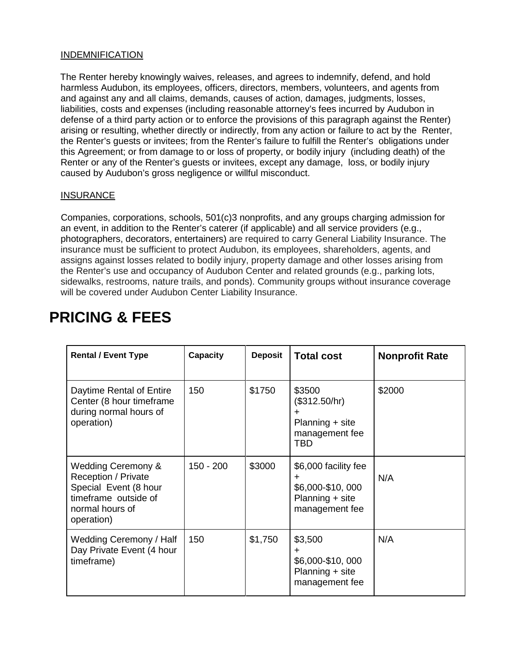# INDEMNIFICATION

The Renter hereby knowingly waives, releases, and agrees to indemnify, defend, and hold harmless Audubon, its employees, officers, directors, members, volunteers, and agents from and against any and all claims, demands, causes of action, damages, judgments, losses, liabilities, costs and expenses (including reasonable attorney's fees incurred by Audubon in defense of a third party action or to enforce the provisions of this paragraph against the Renter) arising or resulting, whether directly or indirectly, from any action or failure to act by the Renter, the Renter's guests or invitees; from the Renter's failure to fulfill the Renter's obligations under this Agreement; or from damage to or loss of property, or bodily injury (including death) of the Renter or any of the Renter's guests or invitees, except any damage, loss, or bodily injury caused by Audubon's gross negligence or willful misconduct.

# **INSURANCE**

Companies, corporations, schools, 501(c)3 nonprofits, and any groups charging admission for an event, in addition to the Renter's caterer (if applicable) and all service providers (e.g., photographers, decorators, entertainers) are required to carry General Liability Insurance. The insurance must be sufficient to protect Audubon, its employees, shareholders, agents, and assigns against losses related to bodily injury, property damage and other losses arising from the Renter's use and occupancy of Audubon Center and related grounds (e.g., parking lots, sidewalks, restrooms, nature trails, and ponds). Community groups without insurance coverage will be covered under Audubon Center Liability Insurance.

| <b>Rental / Event Type</b>                                                                                                                    | Capacity    | <b>Deposit</b> | <b>Total cost</b>                                                                       | <b>Nonprofit Rate</b> |
|-----------------------------------------------------------------------------------------------------------------------------------------------|-------------|----------------|-----------------------------------------------------------------------------------------|-----------------------|
| Daytime Rental of Entire<br>Center (8 hour timeframe<br>during normal hours of<br>operation)                                                  | 150         | \$1750         | \$3500<br>(\$312.50/hr)<br>÷<br>Planning + site<br>management fee<br><b>TBD</b>         | \$2000                |
| <b>Wedding Ceremony &amp;</b><br><b>Reception / Private</b><br>Special Event (8 hour<br>timeframe outside of<br>normal hours of<br>operation) | $150 - 200$ | \$3000         | \$6,000 facility fee<br>$\div$<br>\$6,000-\$10,000<br>Planning + site<br>management fee | N/A                   |
| Wedding Ceremony / Half<br>Day Private Event (4 hour<br>timeframe)                                                                            | 150         | \$1,750        | \$3,500<br>$\pm$<br>\$6,000-\$10,000<br>Planning + site<br>management fee               | N/A                   |

# **PRICING & FEES**